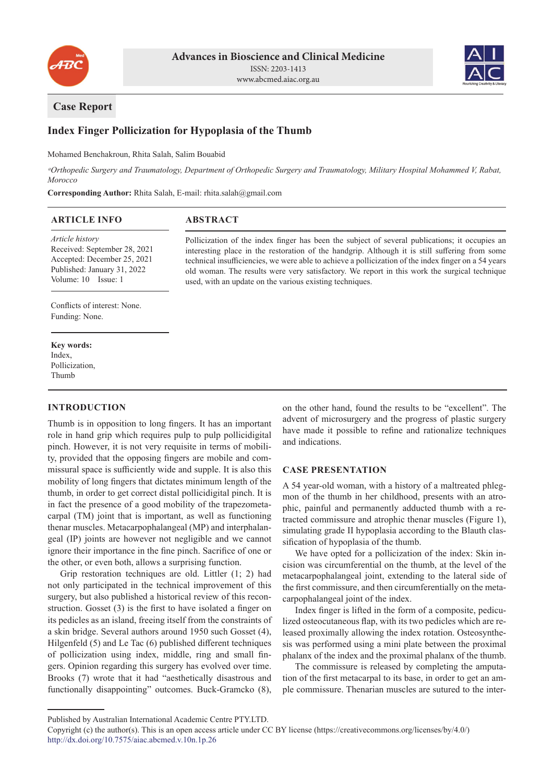



# **Case Report**

# **Index Finger Pollicization for Hypoplasia of the Thumb**

Mohamed Benchakroun, Rhita Salah, Salim Bouabid

*ᵃOrthopedic Surgery and Traumatology, Department of Orthopedic Surgery and Traumatology, Military Hospital Mohammed V, Rabat, Morocco*

**Corresponding Author:** Rhita Salah, E-mail: rhita.salah@gmail.com

#### **ARTICLE INFO**

# **ABSTRACT**

*Article history* Received: September 28, 2021 Accepted: December 25, 2021 Published: January 31, 2022 Volume: 10 Issue: 1

Pollicization of the index finger has been the subject of several publications; it occupies an interesting place in the restoration of the handgrip. Although it is still suffering from some technical insufficiencies, we were able to achieve a pollicization of the index finger on a 54 years old woman. The results were very satisfactory. We report in this work the surgical technique used, with an update on the various existing techniques.

Conflicts of interest: None. Funding: None.

**Key words:** Index, Pollicization, Thumb

## **INTRODUCTION**

Thumb is in opposition to long fingers. It has an important role in hand grip which requires pulp to pulp pollicidigital pinch. However, it is not very requisite in terms of mobility, provided that the opposing fingers are mobile and commissural space is sufficiently wide and supple. It is also this mobility of long fingers that dictates minimum length of the thumb, in order to get correct distal pollicidigital pinch. It is in fact the presence of a good mobility of the trapezometacarpal (TM) joint that is important, as well as functioning thenar muscles. Metacarpophalangeal (MP) and interphalangeal (IP) joints are however not negligible and we cannot ignore their importance in the fine pinch. Sacrifice of one or the other, or even both, allows a surprising function.

Grip restoration techniques are old. Littler (1; 2) had not only participated in the technical improvement of this surgery, but also published a historical review of this reconstruction. Gosset (3) is the first to have isolated a finger on its pedicles as an island, freeing itself from the constraints of a skin bridge. Several authors around 1950 such Gosset (4), Hilgenfeld (5) and Le Tac (6) published different techniques of pollicization using index, middle, ring and small fingers. Opinion regarding this surgery has evolved over time. Brooks (7) wrote that it had "aesthetically disastrous and functionally disappointing" outcomes. Buck-Gramcko (8),

on the other hand, found the results to be "excellent". The advent of microsurgery and the progress of plastic surgery have made it possible to refine and rationalize techniques and indications.

## **CASE PRESENTATION**

A 54 year-old woman, with a history of a maltreated phlegmon of the thumb in her childhood, presents with an atrophic, painful and permanently adducted thumb with a retracted commissure and atrophic thenar muscles (Figure 1), simulating grade II hypoplasia according to the Blauth classification of hypoplasia of the thumb.

We have opted for a pollicization of the index: Skin incision was circumferential on the thumb, at the level of the metacarpophalangeal joint, extending to the lateral side of the first commissure, and then circumferentially on the metacarpophalangeal joint of the index.

Index finger is lifted in the form of a composite, pediculized osteocutaneous flap, with its two pedicles which are released proximally allowing the index rotation. Osteosynthesis was performed using a mini plate between the proximal phalanx of the index and the proximal phalanx of the thumb.

The commissure is released by completing the amputation of the first metacarpal to its base, in order to get an ample commissure. Thenarian muscles are sutured to the inter-

Published by Australian International Academic Centre PTY.LTD.

Copyright (c) the author(s). This is an open access article under CC BY license (https://creativecommons.org/licenses/by/4.0/) http://dx.doi.org/10.7575/aiac.abcmed.v.10n.1p.26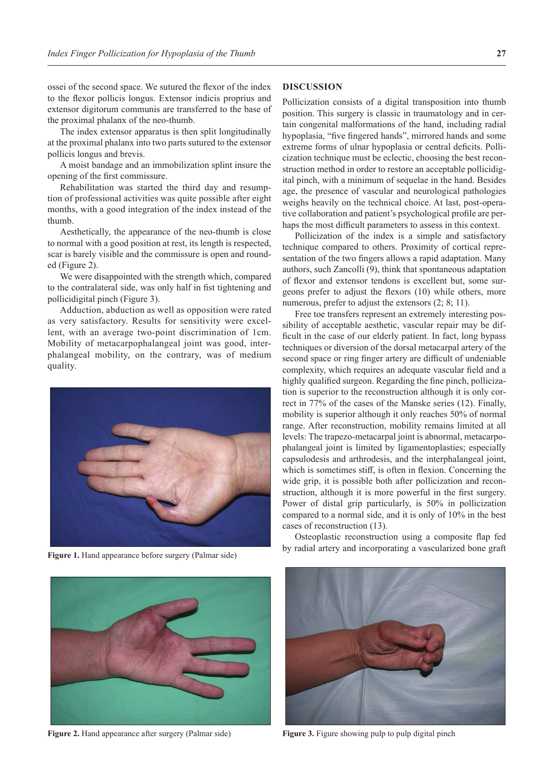ossei of the second space. We sutured the flexor of the index to the flexor pollicis longus. Extensor indicis proprius and extensor digitorum communis are transferred to the base of the proximal phalanx of the neo-thumb.

The index extensor apparatus is then split longitudinally at the proximal phalanx into two parts sutured to the extensor pollicis longus and brevis.

A moist bandage and an immobilization splint insure the opening of the first commissure.

Rehabilitation was started the third day and resumption of professional activities was quite possible after eight months, with a good integration of the index instead of the thumb.

Aesthetically, the appearance of the neo-thumb is close to normal with a good position at rest, its length is respected, scar is barely visible and the commissure is open and rounded (Figure 2).

We were disappointed with the strength which, compared to the contralateral side, was only half in fist tightening and pollicidigital pinch (Figure 3).

Adduction, abduction as well as opposition were rated as very satisfactory. Results for sensitivity were excellent, with an average two-point discrimination of 1cm. Mobility of metacarpophalangeal joint was good, interphalangeal mobility, on the contrary, was of medium quality.





**Figure 2.** Hand appearance after surgery (Palmar side) **Figure 3.** Figure showing pulp to pulp digital pinch

## **DISCUSSION**

Pollicization consists of a digital transposition into thumb position. This surgery is classic in traumatology and in certain congenital malformations of the hand, including radial hypoplasia, "five fingered hands", mirrored hands and some extreme forms of ulnar hypoplasia or central deficits. Pollicization technique must be eclectic, choosing the best reconstruction method in order to restore an acceptable pollicidigital pinch, with a minimum of sequelae in the hand. Besides age, the presence of vascular and neurological pathologies weighs heavily on the technical choice. At last, post-operative collaboration and patient's psychological profile are perhaps the most difficult parameters to assess in this context.

Pollicization of the index is a simple and satisfactory technique compared to others. Proximity of cortical representation of the two fingers allows a rapid adaptation. Many authors, such Zancolli (9), think that spontaneous adaptation of flexor and extensor tendons is excellent but, some surgeons prefer to adjust the flexors (10) while others, more numerous, prefer to adjust the extensors  $(2; 8; 11)$ .

Free toe transfers represent an extremely interesting possibility of acceptable aesthetic, vascular repair may be difficult in the case of our elderly patient. In fact, long bypass techniques or diversion of the dorsal metacarpal artery of the second space or ring finger artery are difficult of undeniable complexity, which requires an adequate vascular field and a highly qualified surgeon. Regarding the fine pinch, pollicization is superior to the reconstruction although it is only correct in 77% of the cases of the Manske series (12). Finally, mobility is superior although it only reaches 50% of normal range. After reconstruction, mobility remains limited at all levels: The trapezo-metacarpal joint is abnormal, metacarpophalangeal joint is limited by ligamentoplasties; especially capsulodesis and arthrodesis, and the interphalangeal joint, which is sometimes stiff, is often in flexion. Concerning the wide grip, it is possible both after pollicization and reconstruction, although it is more powerful in the first surgery. Power of distal grip particularly, is 50% in pollicization compared to a normal side, and it is only of 10% in the best cases of reconstruction (13).

Osteoplastic reconstruction using a composite flap fed by radial artery and incorporating a vascularized bone graft **Figure 1.** Hand appearance before surgery (Palmar side)

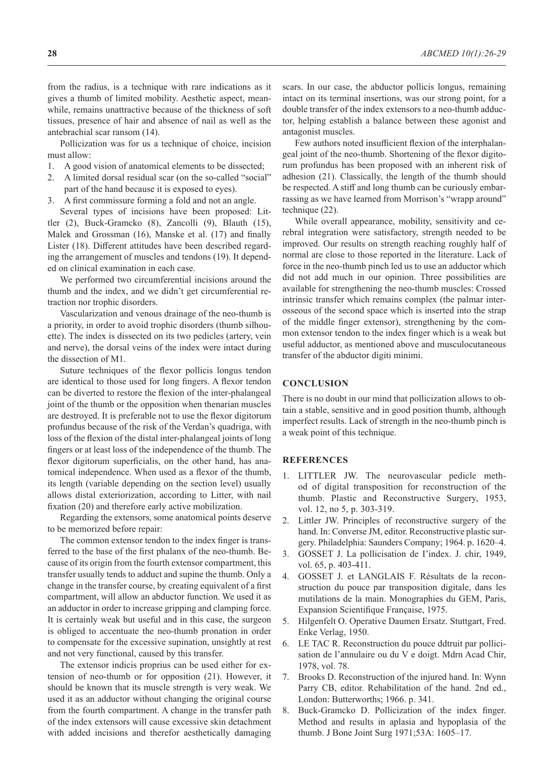from the radius, is a technique with rare indications as it gives a thumb of limited mobility. Aesthetic aspect, meanwhile, remains unattractive because of the thickness of soft tissues, presence of hair and absence of nail as well as the antebrachial scar ransom (14).

Pollicization was for us a technique of choice, incision must allow:

- 1. A good vision of anatomical elements to be dissected;
- 2. A limited dorsal residual scar (on the so-called "social" part of the hand because it is exposed to eyes).
- 3. A first commissure forming a fold and not an angle.

Several types of incisions have been proposed: Littler (2), Buck-Gramcko (8), Zancolli (9), Blauth (15), Malek and Grossman (16), Manske et al. (17) and finally Lister (18). Different attitudes have been described regarding the arrangement of muscles and tendons (19). It depended on clinical examination in each case.

We performed two circumferential incisions around the thumb and the index, and we didn't get circumferential retraction nor trophic disorders.

Vascularization and venous drainage of the neo-thumb is a priority, in order to avoid trophic disorders (thumb silhouette). The index is dissected on its two pedicles (artery, vein and nerve), the dorsal veins of the index were intact during the dissection of M1.

Suture techniques of the flexor pollicis longus tendon are identical to those used for long fingers. A flexor tendon can be diverted to restore the flexion of the inter-phalangeal joint of the thumb or the opposition when thenarian muscles are destroyed. It is preferable not to use the flexor digitorum profundus because of the risk of the Verdan's quadriga, with loss of the flexion of the distal inter-phalangeal joints of long fingers or at least loss of the independence of the thumb. The flexor digitorum superficialis, on the other hand, has anatomical independence. When used as a flexor of the thumb, its length (variable depending on the section level) usually allows distal exteriorization, according to Litter, with nail fixation (20) and therefore early active mobilization.

Regarding the extensors, some anatomical points deserve to be memorized before repair:

The common extensor tendon to the index finger is transferred to the base of the first phalanx of the neo-thumb. Because of its origin from the fourth extensor compartment, this transfer usually tends to adduct and supine the thumb. Only a change in the transfer course, by creating equivalent of a first compartment, will allow an abductor function. We used it as an adductor in order to increase gripping and clamping force. It is certainly weak but useful and in this case, the surgeon is obliged to accentuate the neo-thumb pronation in order to compensate for the excessive supination, unsightly at rest and not very functional, caused by this transfer.

The extensor indicis proprius can be used either for extension of neo-thumb or for opposition (21). However, it should be known that its muscle strength is very weak. We used it as an adductor without changing the original course from the fourth compartment. A change in the transfer path of the index extensors will cause excessive skin detachment with added incisions and therefor aesthetically damaging

scars. In our case, the abductor pollicis longus, remaining intact on its terminal insertions, was our strong point, for a double transfer of the index extensors to a neo-thumb adductor, helping establish a balance between these agonist and antagonist muscles.

Few authors noted insufficient flexion of the interphalangeal joint of the neo-thumb. Shortening of the flexor digitorum profundus has been proposed with an inherent risk of adhesion (21). Classically, the length of the thumb should be respected. A stiff and long thumb can be curiously embarrassing as we have learned from Morrison's "wrapp around" technique (22).

While overall appearance, mobility, sensitivity and cerebral integration were satisfactory, strength needed to be improved. Our results on strength reaching roughly half of normal are close to those reported in the literature. Lack of force in the neo-thumb pinch led us to use an adductor which did not add much in our opinion. Three possibilities are available for strengthening the neo-thumb muscles: Crossed intrinsic transfer which remains complex (the palmar interosseous of the second space which is inserted into the strap of the middle finger extensor), strengthening by the common extensor tendon to the index finger which is a weak but useful adductor, as mentioned above and musculocutaneous transfer of the abductor digiti minimi.

### **CONCLUSION**

There is no doubt in our mind that pollicization allows to obtain a stable, sensitive and in good position thumb, although imperfect results. Lack of strength in the neo-thumb pinch is a weak point of this technique.

#### **REFERENCES**

- 1. LITTLER JW. The neurovascular pedicle method of digital transposition for reconstruction of the thumb. Plastic and Reconstructive Surgery, 1953, vol. 12, no 5, p. 303-319.
- 2. Littler JW. Principles of reconstructive surgery of the hand. In: Converse JM, editor. Reconstructive plastic surgery. Philadelphia: Saunders Company; 1964. p. 1620–4.
- 3. GOSSET J. La pollicisation de I'index. J. chir, 1949, vol. 65, p. 403-411.
- 4. GOSSET J. et LANGLAIS F. Résultats de la reconstruction du pouce par transposition digitale, dans les mutilations de la main. Monographies du GEM, Paris, Expansion Scientifique Française, 1975.
- 5. Hilgenfelt O. Operative Daumen Ersatz. Stuttgart, Fred. Enke Verlag, 1950.
- 6. LE TAC R. Reconstruction du pouce ddtruit par pollicisation de l'annulaire ou du V e doigt. Mdrn Acad Chir, 1978, vol. 78.
- 7. Brooks D. Reconstruction of the injured hand. In: Wynn Parry CB, editor. Rehabilitation of the hand. 2nd ed., London: Butterworths; 1966. p. 341.
- 8. Buck-Gramcko D. Pollicization of the index finger. Method and results in aplasia and hypoplasia of the thumb. J Bone Joint Surg 1971;53A: 1605–17.